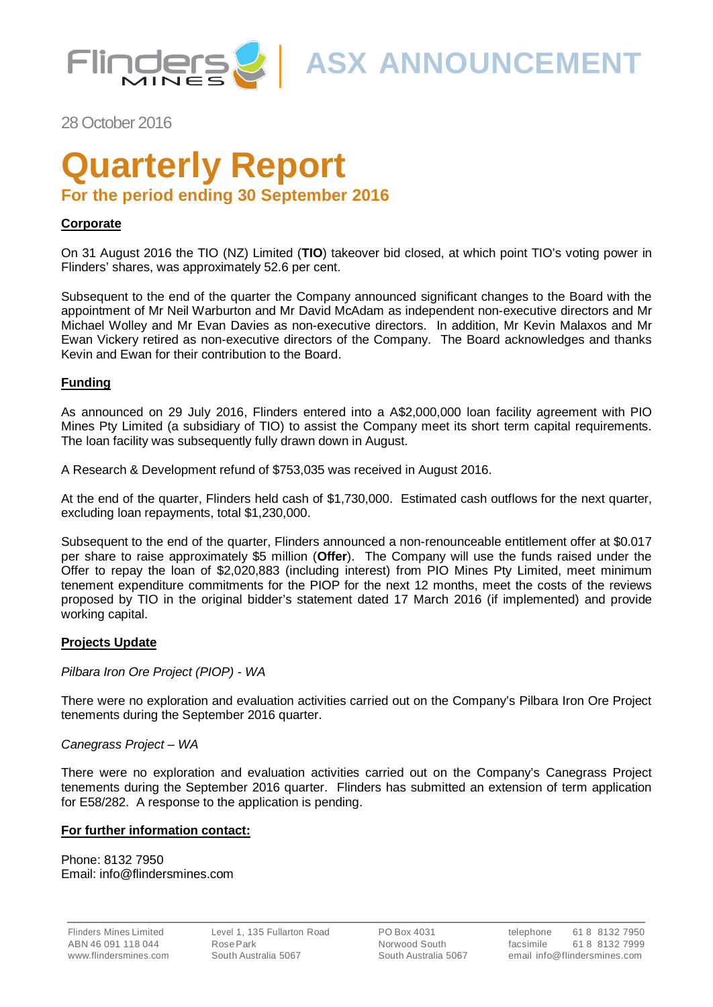

**ASX ANNOUNCEMENT**

28 October 2016

# **Quarterly Report**

# **For the period ending 30 September 2016**

### **Corporate**

On 31 August 2016 the TIO (NZ) Limited (**TIO**) takeover bid closed, at which point TIO's voting power in Flinders' shares, was approximately 52.6 per cent.

Subsequent to the end of the quarter the Company announced significant changes to the Board with the appointment of Mr Neil Warburton and Mr David McAdam as independent non-executive directors and Mr Michael Wolley and Mr Evan Davies as non-executive directors. In addition, Mr Kevin Malaxos and Mr Ewan Vickery retired as non-executive directors of the Company. The Board acknowledges and thanks Kevin and Ewan for their contribution to the Board.

### **Funding**

As announced on 29 July 2016, Flinders entered into a A\$2,000,000 loan facility agreement with PIO Mines Pty Limited (a subsidiary of TIO) to assist the Company meet its short term capital requirements. The loan facility was subsequently fully drawn down in August.

A Research & Development refund of \$753,035 was received in August 2016.

At the end of the quarter, Flinders held cash of \$1,730,000. Estimated cash outflows for the next quarter, excluding loan repayments, total \$1,230,000.

Subsequent to the end of the quarter, Flinders announced a non-renounceable entitlement offer at \$0.017 per share to raise approximately \$5 million (**Offer**). The Company will use the funds raised under the Offer to repay the loan of \$2,020,883 (including interest) from PIO Mines Pty Limited, meet minimum tenement expenditure commitments for the PIOP for the next 12 months, meet the costs of the reviews proposed by TIO in the original bidder's statement dated 17 March 2016 (if implemented) and provide working capital.

### **Projects Update**

*Pilbara Iron Ore Project (PIOP) - WA*

There were no exploration and evaluation activities carried out on the Company's Pilbara Iron Ore Project tenements during the September 2016 quarter.

### *Canegrass Project – WA*

There were no exploration and evaluation activities carried out on the Company's Canegrass Project tenements during the September 2016 quarter. Flinders has submitted an extension of term application for E58/282. A response to the application is pending.

### **For further information contact:**

Phone: 8132 7950 Email: info@flindersmines.com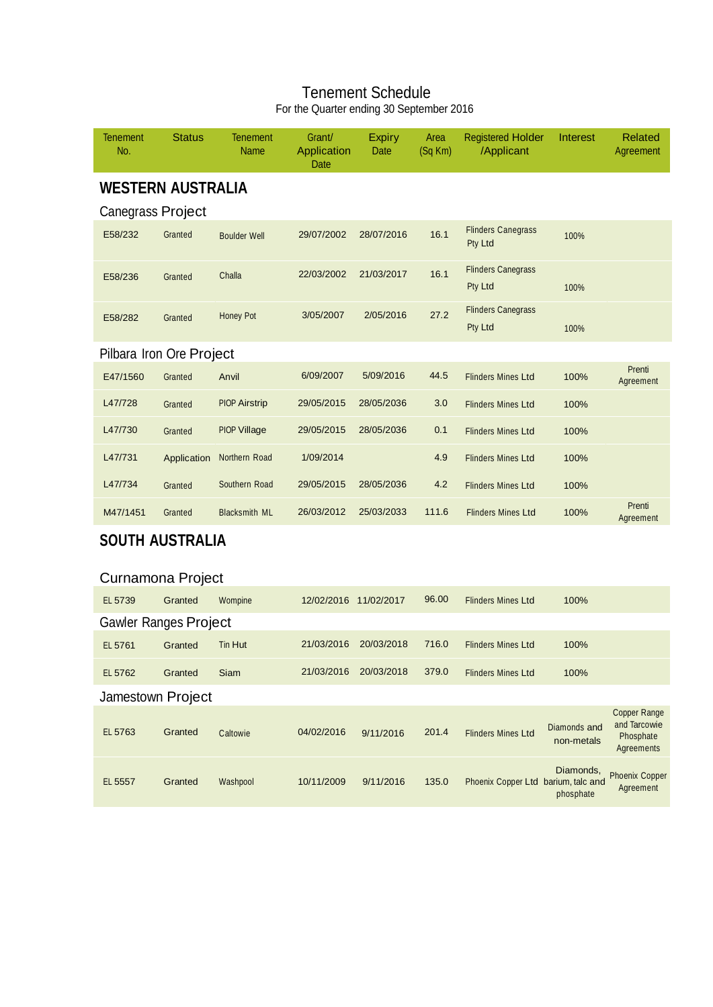### Tenement Schedule For the Quarter ending 30 September 2016

| <b>Tenement</b><br>No.       | <b>Status</b> | <b>Tenement</b><br><b>Name</b> | Grant/<br>Application<br>Date | <b>Expiry</b><br>Date | Area<br>$(Sq$ Km) | <b>Registered Holder</b><br>/Applicant | Interest                   | Related<br>Agreement                                           |
|------------------------------|---------------|--------------------------------|-------------------------------|-----------------------|-------------------|----------------------------------------|----------------------------|----------------------------------------------------------------|
| <b>WESTERN AUSTRALIA</b>     |               |                                |                               |                       |                   |                                        |                            |                                                                |
| <b>Canegrass Project</b>     |               |                                |                               |                       |                   |                                        |                            |                                                                |
| E58/232                      | Granted       | <b>Boulder Well</b>            | 29/07/2002                    | 28/07/2016            | 16.1              | <b>Flinders Canegrass</b><br>Pty Ltd   | 100%                       |                                                                |
| E58/236                      | Granted       | Challa                         | 22/03/2002                    | 21/03/2017            | 16.1              | <b>Flinders Canegrass</b><br>Pty Ltd   | 100%                       |                                                                |
| E58/282                      | Granted       | Honey Pot                      | 3/05/2007                     | 2/05/2016             | 27.2              | <b>Flinders Canegrass</b><br>Pty Ltd   | 100%                       |                                                                |
| Pilbara Iron Ore Project     |               |                                |                               |                       |                   |                                        |                            |                                                                |
| E47/1560                     | Granted       | Anvil                          | 6/09/2007                     | 5/09/2016             | 44.5              | <b>Flinders Mines Ltd</b>              | 100%                       | Prenti<br>Agreement                                            |
| L47/728                      | Granted       | <b>PIOP Airstrip</b>           | 29/05/2015                    | 28/05/2036            | 3.0               | <b>Flinders Mines Ltd</b>              | 100%                       |                                                                |
| L47/730                      | Granted       | <b>PIOP Village</b>            | 29/05/2015                    | 28/05/2036            | 0.1               | <b>Flinders Mines Ltd</b>              | 100%                       |                                                                |
| L47/731                      | Application   | Northern Road                  | 1/09/2014                     |                       | 4.9               | <b>Flinders Mines Ltd</b>              | 100%                       |                                                                |
| L47/734                      | Granted       | Southern Road                  | 29/05/2015                    | 28/05/2036            | 4.2               | <b>Flinders Mines Ltd</b>              | 100%                       |                                                                |
| M47/1451                     | Granted       | <b>Blacksmith ML</b>           | 26/03/2012                    | 25/03/2033            | 111.6             | <b>Flinders Mines Ltd</b>              | 100%                       | Prenti<br>Agreement                                            |
| <b>SOUTH AUSTRALIA</b>       |               |                                |                               |                       |                   |                                        |                            |                                                                |
| Curnamona Project            |               |                                |                               |                       |                   |                                        |                            |                                                                |
| EL 5739                      | Granted       | Wompine                        | 12/02/2016 11/02/2017         |                       | 96.00             | <b>Flinders Mines Ltd</b>              | 100%                       |                                                                |
| <b>Gawler Ranges Project</b> |               |                                |                               |                       |                   |                                        |                            |                                                                |
| EL 5761                      | Granted       | Tin Hut                        | 21/03/2016                    | 20/03/2018            | 716.0             | <b>Flinders Mines Ltd</b>              | 100%                       |                                                                |
| EL 5762                      | Granted       | Siam                           | 21/03/2016                    | 20/03/2018            | 379.0             | <b>Flinders Mines Ltd</b>              | 100%                       |                                                                |
| Jamestown Project            |               |                                |                               |                       |                   |                                        |                            |                                                                |
| EL 5763                      | Granted       | Caltowie                       | 04/02/2016                    | 9/11/2016             | 201.4             | <b>Flinders Mines Ltd</b>              | Diamonds and<br>non-metals | <b>Copper Range</b><br>and Tarcowie<br>Phosphate<br>Agreements |
| EL 5557                      | Granted       | Washpool                       | 10/11/2009                    | 9/11/2016             | 135.0             | Phoenix Copper Ltd barium, talc and    | Diamonds,<br>phosphate     | <b>Phoenix Copper</b><br>Agreement                             |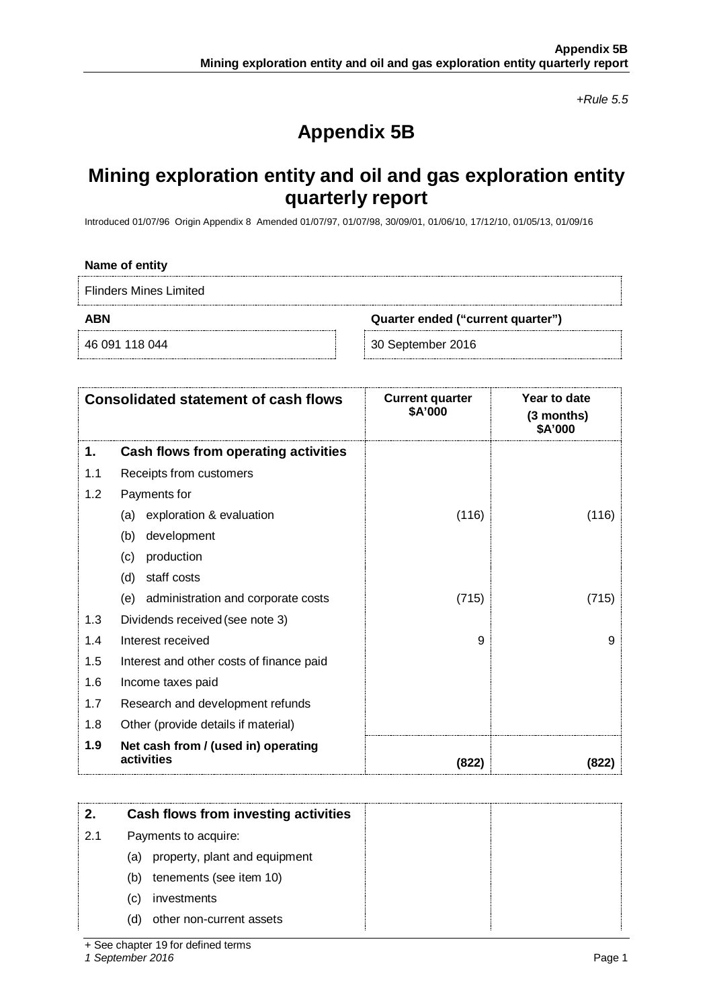*+Rule 5.5*

# **Appendix 5B**

# **Mining exploration entity and oil and gas exploration entity quarterly report**

Introduced 01/07/96 Origin Appendix 8 Amended 01/07/97, 01/07/98, 30/09/01, 01/06/10, 17/12/10, 01/05/13, 01/09/16

#### **Name of entity**

Flinders Mines Limited

**ABN Quarter ended ("current quarter")**

46 091 118 044 30 September 2016

|     | <b>Consolidated statement of cash flows</b>       | <b>Current quarter</b><br>\$A'000 | Year to date<br>$(3$ months)<br>\$A'000 |
|-----|---------------------------------------------------|-----------------------------------|-----------------------------------------|
| 1.  | Cash flows from operating activities              |                                   |                                         |
| 1.1 | Receipts from customers                           |                                   |                                         |
| 1.2 | Payments for                                      |                                   |                                         |
|     | exploration & evaluation<br>(a)                   | (116)                             | (116)                                   |
|     | development<br>(b)                                |                                   |                                         |
|     | production<br>(c)                                 |                                   |                                         |
|     | staff costs<br>(d)                                |                                   |                                         |
|     | administration and corporate costs<br>(e)         | (715)                             | (715)                                   |
| 1.3 | Dividends received (see note 3)                   |                                   |                                         |
| 1.4 | Interest received                                 | 9                                 | 9                                       |
| 1.5 | Interest and other costs of finance paid          |                                   |                                         |
| 1.6 | Income taxes paid                                 |                                   |                                         |
| 1.7 | Research and development refunds                  |                                   |                                         |
| 1.8 | Other (provide details if material)               |                                   |                                         |
| 1.9 | Net cash from / (used in) operating<br>activities | (822)                             | (822)                                   |

|     | Cash flows from investing activities |  |
|-----|--------------------------------------|--|
| 2.1 | Payments to acquire:                 |  |
|     | property, plant and equipment<br>(a) |  |
|     | tenements (see item 10)<br>(b)       |  |
|     | investments<br>(C)                   |  |
|     | other non-current assets<br>(d)      |  |

*1 September 2016* Page 1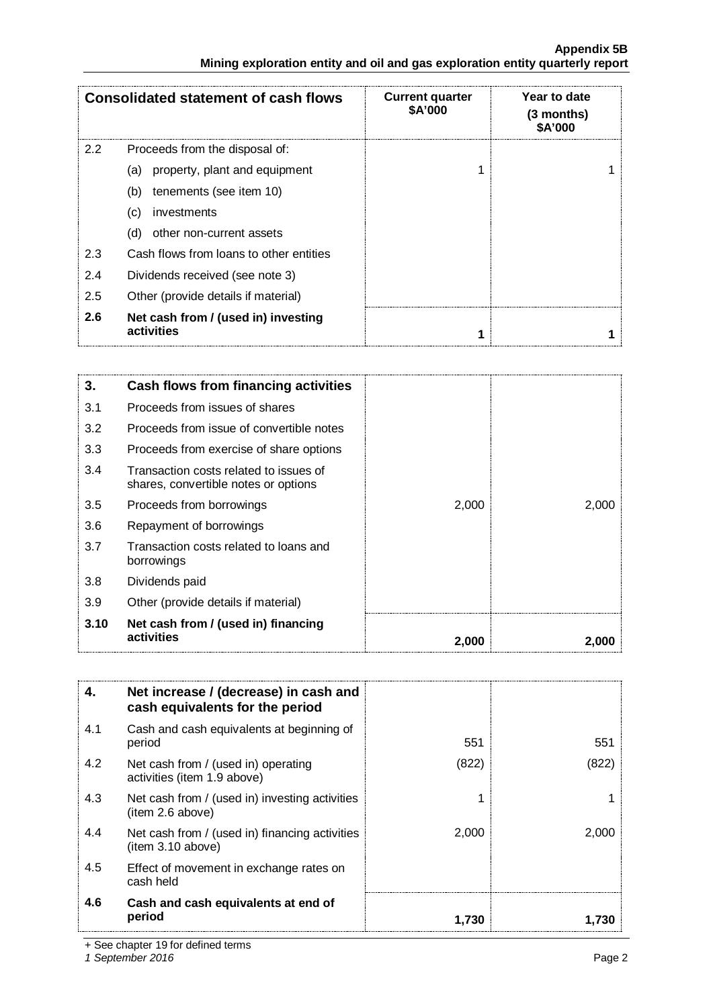### **Appendix 5B Mining exploration entity and oil and gas exploration entity quarterly report**

|     | <b>Consolidated statement of cash flows</b>       | <b>Current quarter</b><br>\$A'000 | Year to date<br>$(3$ months)<br><b>SA'000</b> |
|-----|---------------------------------------------------|-----------------------------------|-----------------------------------------------|
| 2.2 | Proceeds from the disposal of:                    |                                   |                                               |
|     | property, plant and equipment<br>(a)              |                                   |                                               |
|     | tenements (see item 10)<br>(b)                    |                                   |                                               |
|     | investments<br>(C)                                |                                   |                                               |
|     | other non-current assets<br>(d)                   |                                   |                                               |
| 2.3 | Cash flows from loans to other entities           |                                   |                                               |
| 2.4 | Dividends received (see note 3)                   |                                   |                                               |
| 2.5 | Other (provide details if material)               |                                   |                                               |
| 2.6 | Net cash from / (used in) investing<br>activities |                                   |                                               |

| 3.   | Cash flows from financing activities                                           |       |       |
|------|--------------------------------------------------------------------------------|-------|-------|
| 3.1  | Proceeds from issues of shares                                                 |       |       |
| 3.2  | Proceeds from issue of convertible notes                                       |       |       |
| 3.3  | Proceeds from exercise of share options                                        |       |       |
| 3.4  | Transaction costs related to issues of<br>shares, convertible notes or options |       |       |
| 3.5  | Proceeds from borrowings                                                       | 2,000 | 2,000 |
| 3.6  | Repayment of borrowings                                                        |       |       |
| 3.7  | Transaction costs related to loans and<br>borrowings                           |       |       |
| 3.8  | Dividends paid                                                                 |       |       |
| 3.9  | Other (provide details if material)                                            |       |       |
| 3.10 | Net cash from / (used in) financing<br>activities                              | 2,000 | 2,000 |

| 4.  | Net increase / (decrease) in cash and<br>cash equivalents for the period |       |       |
|-----|--------------------------------------------------------------------------|-------|-------|
| 4.1 | Cash and cash equivalents at beginning of<br>period                      | 551   | 551   |
| 4.2 | Net cash from / (used in) operating<br>activities (item 1.9 above)       | (822) | (822  |
| 4.3 | Net cash from / (used in) investing activities<br>(item 2.6 above)       |       |       |
| 4.4 | Net cash from / (used in) financing activities<br>(item 3.10 above)      | 2,000 | 2,000 |
| 4.5 | Effect of movement in exchange rates on<br>cash held                     |       |       |
| 4.6 | Cash and cash equivalents at end of<br>period                            | 1.730 |       |

+ See chapter 19 for defined terms

*1 September 2016* Page 2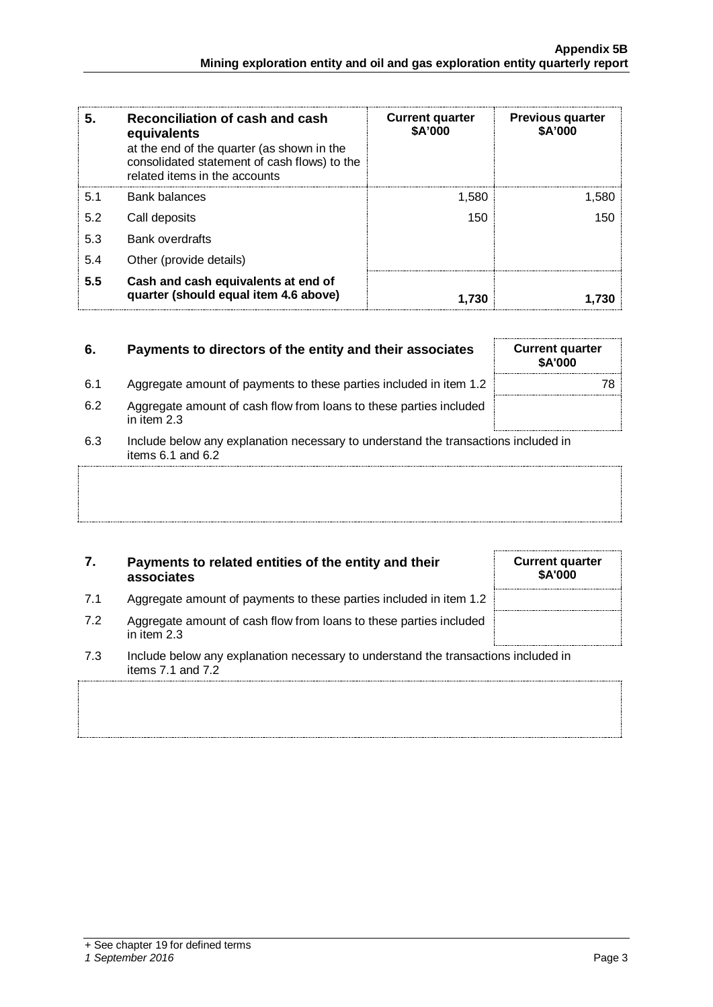| 5.  | Reconciliation of cash and cash<br>equivalents<br>at the end of the quarter (as shown in the<br>consolidated statement of cash flows) to the<br>related items in the accounts | <b>Current quarter</b><br>\$A'000 | <b>Previous quarter</b><br>\$A'000 |
|-----|-------------------------------------------------------------------------------------------------------------------------------------------------------------------------------|-----------------------------------|------------------------------------|
| 5.1 | Bank balances                                                                                                                                                                 | 1.580                             | 1.580                              |
| 5.2 | Call deposits                                                                                                                                                                 | 150                               | 150                                |
| 5.3 | <b>Bank overdrafts</b>                                                                                                                                                        |                                   |                                    |
| 5.4 | Other (provide details)                                                                                                                                                       |                                   |                                    |
| 5.5 | Cash and cash equivalents at end of<br>quarter (should equal item 4.6 above)                                                                                                  | 1.730                             |                                    |

## **6.** Payments to directors of the entity and their associates

- 6.1 Aggregate amount of payments to these parties included in item 1.2
- 6.2 Aggregate amount of cash flow from loans to these parties included in item 2.3
- 6.3 Include below any explanation necessary to understand the transactions included in items  $6.1$  and  $6.2$

### **7. Payments to related entities of the entity and their associates**

- 7.1 Aggregate amount of payments to these parties included in item 1.2
- 7.2 Aggregate amount of cash flow from loans to these parties included in item 2.3
- 7.3 Include below any explanation necessary to understand the transactions included in items 7.1 and 7.2

| 1,730                                    |  |
|------------------------------------------|--|
| <b>Current quarter</b><br><b>\$A'000</b> |  |
|                                          |  |

| <b>\$A'000</b> | <b>Current quarter</b> |  |
|----------------|------------------------|--|
|                |                        |  |
|                |                        |  |
|                |                        |  |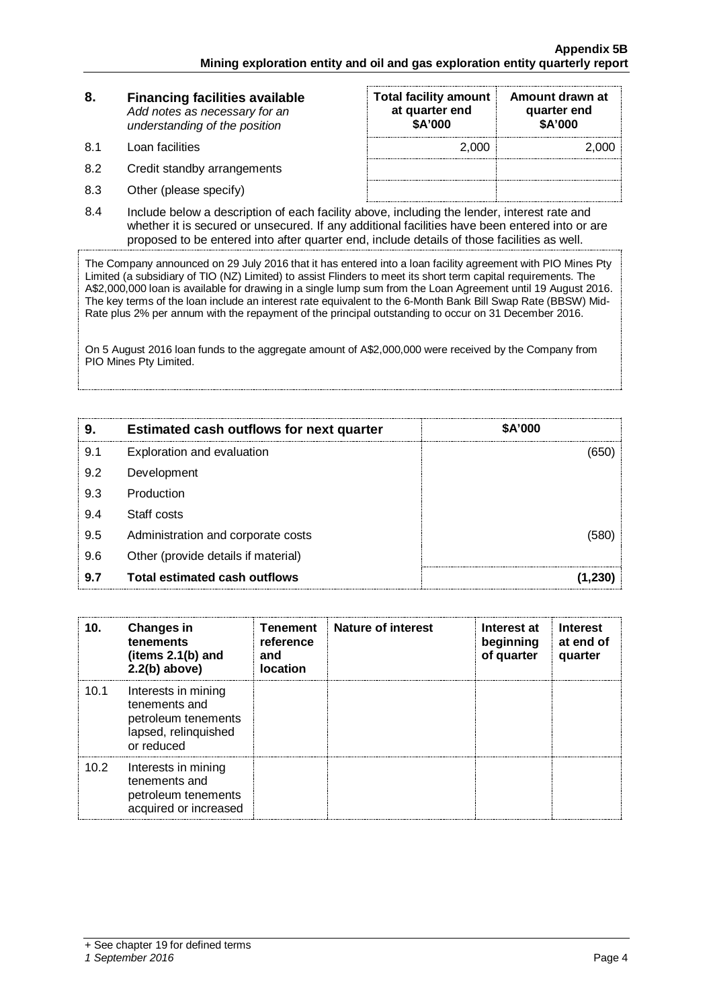| 8.  | <b>Financing facilities available</b><br>Add notes as necessary for an<br>understanding of the position | <b>Total facility amount</b><br>at quarter end<br>\$A'000 | Amount drawn at<br>quarter end<br>\$A'000 |
|-----|---------------------------------------------------------------------------------------------------------|-----------------------------------------------------------|-------------------------------------------|
| 8.1 | Loan facilities                                                                                         | 2.000                                                     | 2.000                                     |
| 8.2 | Credit standby arrangements                                                                             |                                                           |                                           |

- 8.3 Other (please specify)
- 8.4 Include below a description of each facility above, including the lender, interest rate and whether it is secured or unsecured. If any additional facilities have been entered into or are proposed to be entered into after quarter end, include details of those facilities as well.

The Company announced on 29 July 2016 that it has entered into a loan facility agreement with PIO Mines Pty Limited (a subsidiary of TIO (NZ) Limited) to assist Flinders to meet its short term capital requirements. The A\$2,000,000 loan is available for drawing in a single lump sum from the Loan Agreement until 19 August 2016. The key terms of the loan include an interest rate equivalent to the 6-Month Bank Bill Swap Rate (BBSW) Mid-Rate plus 2% per annum with the repayment of the principal outstanding to occur on 31 December 2016.

On 5 August 2016 loan funds to the aggregate amount of A\$2,000,000 were received by the Company from PIO Mines Pty Limited.

| 9   | <b>Estimated cash outflows for next quarter</b> | \$A'000 |
|-----|-------------------------------------------------|---------|
| 9.1 | Exploration and evaluation                      |         |
| 9.2 | Development                                     |         |
| 9.3 | Production                                      |         |
| 9.4 | Staff costs                                     |         |
| 9.5 | Administration and corporate costs              | 1580    |
| 9.6 | Other (provide details if material)             |         |
| 9.7 | <b>Total estimated cash outflows</b>            |         |

| 10.  | <b>Changes in</b><br>tenements<br>(items 2.1(b) and<br>$2.2(b)$ above)                            | Tenement<br>reference<br>and<br><b>location</b> | Nature of interest | Interest at<br>beginning<br>of quarter | <b>Interest</b><br>at end of<br>quarter |
|------|---------------------------------------------------------------------------------------------------|-------------------------------------------------|--------------------|----------------------------------------|-----------------------------------------|
| 10.1 | Interests in mining<br>tenements and<br>petroleum tenements<br>lapsed, relinquished<br>or reduced |                                                 |                    |                                        |                                         |
| 10.2 | Interests in mining<br>tenements and<br>petroleum tenements<br>acquired or increased              |                                                 |                    |                                        |                                         |